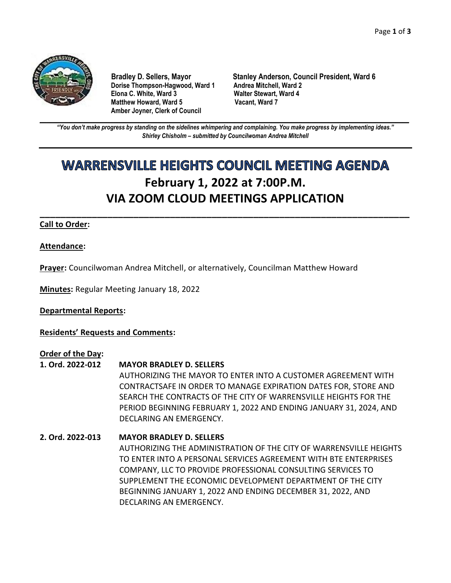

**Dorise Thompson-Hagwood, Ward 1 Andrea Mitchell, Ward 2 Elona C. White, Ward 3 Walter Stewart, Ward 4 Matthew Howard, Ward 5 Amber Joyner, Clerk of Council**

**Bradley D. Sellers, Mayor Stanley Anderson, Council President, Ward 6**

**\_\_\_\_\_\_\_\_\_\_\_\_\_\_\_\_\_\_\_\_\_\_\_\_\_\_\_\_\_\_\_\_\_\_\_\_\_\_\_\_\_\_\_\_\_\_\_\_\_\_\_\_\_\_\_\_\_\_\_\_\_\_\_\_\_\_\_\_\_\_\_\_\_\_\_\_\_\_\_\_\_\_\_\_\_\_\_\_\_\_\_\_\_\_\_\_\_\_\_\_\_\_\_\_\_\_\_\_\_\_** *"You don't make progress by standing on the sidelines whimpering and complaining. You make progress by implementing ideas." Shirley Chisholm – submitted by Councilwoman Andrea Mitchell*

# **WARRENSVILLE HEIGHTS COUNCIL MEETING AGENDA February 1, 2022 at 7:00P.M. VIA ZOOM CLOUD MEETINGS APPLICATION**

**\_\_\_\_\_\_\_\_\_\_\_\_\_\_\_\_\_\_\_\_\_\_\_\_\_\_\_\_\_\_\_\_\_\_\_\_\_\_\_\_\_\_\_\_\_\_\_\_\_\_\_\_\_\_\_\_\_\_\_\_\_\_\_\_\_\_\_\_\_\_\_**

# **Call to Order:**

# **Attendance:**

**Prayer:** Councilwoman Andrea Mitchell, or alternatively, Councilman Matthew Howard

**Minutes:** Regular Meeting January 18, 2022

# **Departmental Reports:**

**Residents' Requests and Comments:**

# **Order of the Day:**

- **1. Ord. 2022-012 MAYOR BRADLEY D. SELLERS**  AUTHORIZING THE MAYOR TO ENTER INTO A CUSTOMER AGREEMENT WITH CONTRACTSAFE IN ORDER TO MANAGE EXPIRATION DATES FOR, STORE AND SEARCH THE CONTRACTS OF THE CITY OF WARRENSVILLE HEIGHTS FOR THE PERIOD BEGINNING FEBRUARY 1, 2022 AND ENDING JANUARY 31, 2024, AND DECLARING AN EMERGENCY.
- **2. Ord. 2022-013 MAYOR BRADLEY D. SELLERS** AUTHORIZING THE ADMINISTRATION OF THE CITY OF WARRENSVILLE HEIGHTS TO ENTER INTO A PERSONAL SERVICES AGREEMENT WITH BTE ENTERPRISES COMPANY, LLC TO PROVIDE PROFESSIONAL CONSULTING SERVICES TO SUPPLEMENT THE ECONOMIC DEVELOPMENT DEPARTMENT OF THE CITY BEGINNING JANUARY 1, 2022 AND ENDING DECEMBER 31, 2022, AND DECLARING AN EMERGENCY.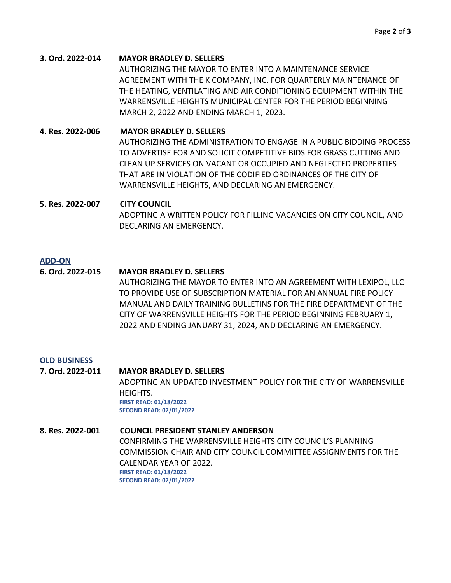### **3. Ord. 2022-014 MAYOR BRADLEY D. SELLERS**

AUTHORIZING THE MAYOR TO ENTER INTO A MAINTENANCE SERVICE AGREEMENT WITH THE K COMPANY, INC. FOR QUARTERLY MAINTENANCE OF THE HEATING, VENTILATING AND AIR CONDITIONING EQUIPMENT WITHIN THE WARRENSVILLE HEIGHTS MUNICIPAL CENTER FOR THE PERIOD BEGINNING MARCH 2, 2022 AND ENDING MARCH 1, 2023.

**4. Res. 2022-006 MAYOR BRADLEY D. SELLERS** AUTHORIZING THE ADMINISTRATION TO ENGAGE IN A PUBLIC BIDDING PROCESS TO ADVERTISE FOR AND SOLICIT COMPETITIVE BIDS FOR GRASS CUTTING AND CLEAN UP SERVICES ON VACANT OR OCCUPIED AND NEGLECTED PROPERTIES THAT ARE IN VIOLATION OF THE CODIFIED ORDINANCES OF THE CITY OF WARRENSVILLE HEIGHTS, AND DECLARING AN EMERGENCY.

# **5. Res. 2022-007 CITY COUNCIL** ADOPTING A WRITTEN POLICY FOR FILLING VACANCIES ON CITY COUNCIL, AND DECLARING AN EMERGENCY.

### **ADD-ON**

# **6. Ord. 2022-015 MAYOR BRADLEY D. SELLERS**

AUTHORIZING THE MAYOR TO ENTER INTO AN AGREEMENT WITH LEXIPOL, LLC TO PROVIDE USE OF SUBSCRIPTION MATERIAL FOR AN ANNUAL FIRE POLICY MANUAL AND DAILY TRAINING BULLETINS FOR THE FIRE DEPARTMENT OF THE CITY OF WARRENSVILLE HEIGHTS FOR THE PERIOD BEGINNING FEBRUARY 1, 2022 AND ENDING JANUARY 31, 2024, AND DECLARING AN EMERGENCY.

#### **OLD BUSINESS**

**7. Ord. 2022-011 MAYOR BRADLEY D. SELLERS** ADOPTING AN UPDATED INVESTMENT POLICY FOR THE CITY OF WARRENSVILLE HEIGHTS. **FIRST READ: 01/18/2022 SECOND READ: 02/01/2022**

**8. Res. 2022-001 COUNCIL PRESIDENT STANLEY ANDERSON** CONFIRMING THE WARRENSVILLE HEIGHTS CITY COUNCIL'S PLANNING COMMISSION CHAIR AND CITY COUNCIL COMMITTEE ASSIGNMENTS FOR THE CALENDAR YEAR OF 2022. **FIRST READ: 01/18/2022 SECOND READ: 02/01/2022**